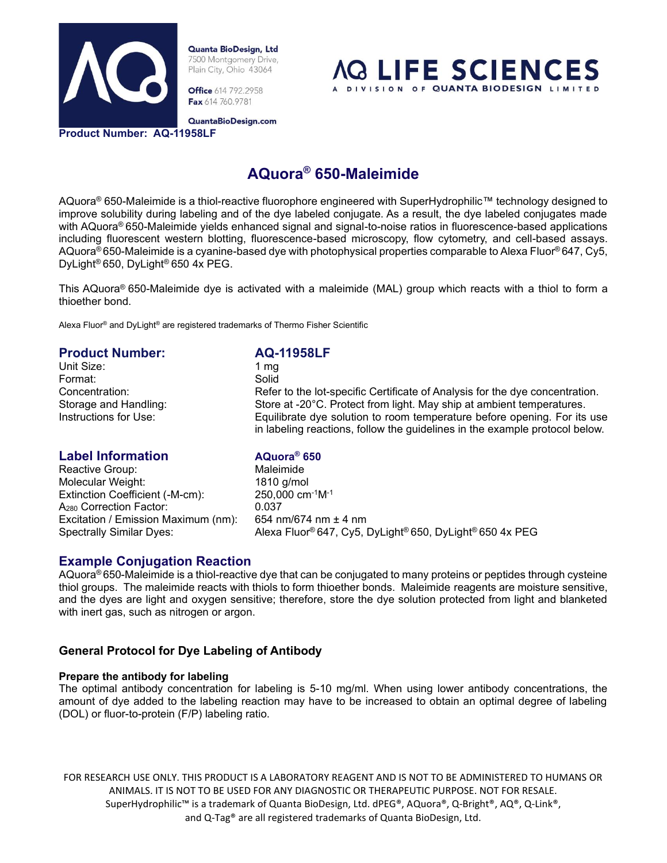

**Office** 614 792.2958 Fax 614 760.9781



QuantaBioDesign.com

**Product Number: AQ-11958LF**

# **AQuora® 650-Maleimide**

AQuora® 650-Maleimide is a thiol-reactive fluorophore engineered with SuperHydrophilic™ technology designed to improve solubility during labeling and of the dye labeled conjugate. As a result, the dye labeled conjugates made with AQuora<sup>®</sup> 650-Maleimide yields enhanced signal and signal-to-noise ratios in fluorescence-based applications including fluorescent western blotting, fluorescence-based microscopy, flow cytometry, and cell-based assays. AQuora® 650-Maleimide is a cyanine-based dye with photophysical properties comparable to Alexa Fluor® 647, Cy5, DyLight® 650, DyLight® 650 4x PEG.

This AQuora® 650-Maleimide dye is activated with a maleimide (MAL) group which reacts with a thiol to form a thioether bond.

Alexa Fluor® and DyLight® are registered trademarks of Thermo Fisher Scientific

### **Product Number: AQ-11958LF**<br>Unit Size: 1 mg Unit Size: Format: Solid Concentration: Refer to the lot-specific Certificate of Analysis for the dye concentration. Storage and Handling: Store at -20°C. Protect from light. May ship at ambient temperatures. Instructions for Use: Equilibrate dye solution to room temperature before opening. For its use in labeling reactions, follow the guidelines in the example protocol below.

# **Label Information AQuora® 650**

Reactive Group: Waleimide Molecular Weight: 1810 g/mol Extinction Coefficient (-M-cm): 250,000 cm-1M-1 A<sub>280</sub> Correction Factor: 0.037 Excitation / Emission Maximum (nm): 654 nm/674 nm ± 4 nm

Spectrally Similar Dyes: Alexa Fluor® 647, Cy5, DyLight® 650, DyLight® 650 4x PEG

# **Example Conjugation Reaction**

AQuora® 650-Maleimide is a thiol-reactive dye that can be conjugated to many proteins or peptides through cysteine thiol groups. The maleimide reacts with thiols to form thioether bonds. Maleimide reagents are moisture sensitive, and the dyes are light and oxygen sensitive; therefore, store the dye solution protected from light and blanketed with inert gas, such as nitrogen or argon.

# **General Protocol for Dye Labeling of Antibody**

#### **Prepare the antibody for labeling**

The optimal antibody concentration for labeling is 5-10 mg/ml. When using lower antibody concentrations, the amount of dye added to the labeling reaction may have to be increased to obtain an optimal degree of labeling (DOL) or fluor-to-protein (F/P) labeling ratio.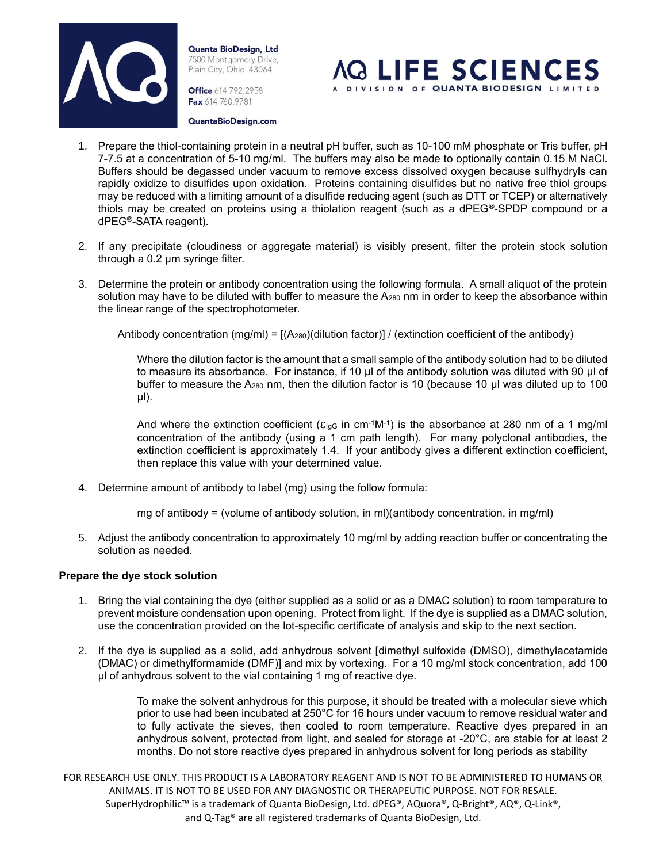

**Office** 614 792.2958 Fax 614 760.9781



QuantaBioDesign.com

- 1. Prepare the thiol-containing protein in a neutral pH buffer, such as 10-100 mM phosphate or Tris buffer, pH 7-7.5 at a concentration of 5-10 mg/ml. The buffers may also be made to optionally contain 0.15 M NaCl. Buffers should be degassed under vacuum to remove excess dissolved oxygen because sulfhydryls can rapidly oxidize to disulfides upon oxidation. Proteins containing disulfides but no native free thiol groups may be reduced with a limiting amount of a disulfide reducing agent (such as DTT or TCEP) or alternatively thiols may be created on proteins using a thiolation reagent (such as a dPEG®-SPDP compound or a dPEG®-SATA reagent).
- 2. If any precipitate (cloudiness or aggregate material) is visibly present, filter the protein stock solution through a 0.2 µm syringe filter.
- 3. Determine the protein or antibody concentration using the following formula. A small aliquot of the protein solution may have to be diluted with buffer to measure the  $A_{280}$  nm in order to keep the absorbance within the linear range of the spectrophotometer.

Antibody concentration  $(mg/ml) = [(A<sub>280</sub>)(dilution factor)] / (extinction coefficient of the antibody)$ 

Where the dilution factor is the amount that a small sample of the antibody solution had to be diluted to measure its absorbance. For instance, if 10 µl of the antibody solution was diluted with 90 µl of buffer to measure the A<sub>280</sub> nm, then the dilution factor is 10 (because 10 µl was diluted up to 100 µl).

And where the extinction coefficient ( $\varepsilon_{\text{lgG}}$  in cm<sup>-1</sup>M<sup>-1</sup>) is the absorbance at 280 nm of a 1 mg/ml concentration of the antibody (using a 1 cm path length). For many polyclonal antibodies, the extinction coefficient is approximately 1.4. If your antibody gives a different extinction coefficient, then replace this value with your determined value.

- 4. Determine amount of antibody to label (mg) using the follow formula:
	- mg of antibody = (volume of antibody solution, in ml)(antibody concentration, in mg/ml)
- 5. Adjust the antibody concentration to approximately 10 mg/ml by adding reaction buffer or concentrating the solution as needed.

#### **Prepare the dye stock solution**

- 1. Bring the vial containing the dye (either supplied as a solid or as a DMAC solution) to room temperature to prevent moisture condensation upon opening. Protect from light. If the dye is supplied as a DMAC solution, use the concentration provided on the lot-specific certificate of analysis and skip to the next section.
- 2. If the dye is supplied as a solid, add anhydrous solvent [dimethyl sulfoxide (DMSO), dimethylacetamide (DMAC) or dimethylformamide (DMF)] and mix by vortexing. For a 10 mg/ml stock concentration, add 100 µl of anhydrous solvent to the vial containing 1 mg of reactive dye.

To make the solvent anhydrous for this purpose, it should be treated with a molecular sieve which prior to use had been incubated at 250°C for 16 hours under vacuum to remove residual water and to fully activate the sieves, then cooled to room temperature. Reactive dyes prepared in an anhydrous solvent, protected from light, and sealed for storage at -20°C, are stable for at least 2 months. Do not store reactive dyes prepared in anhydrous solvent for long periods as stability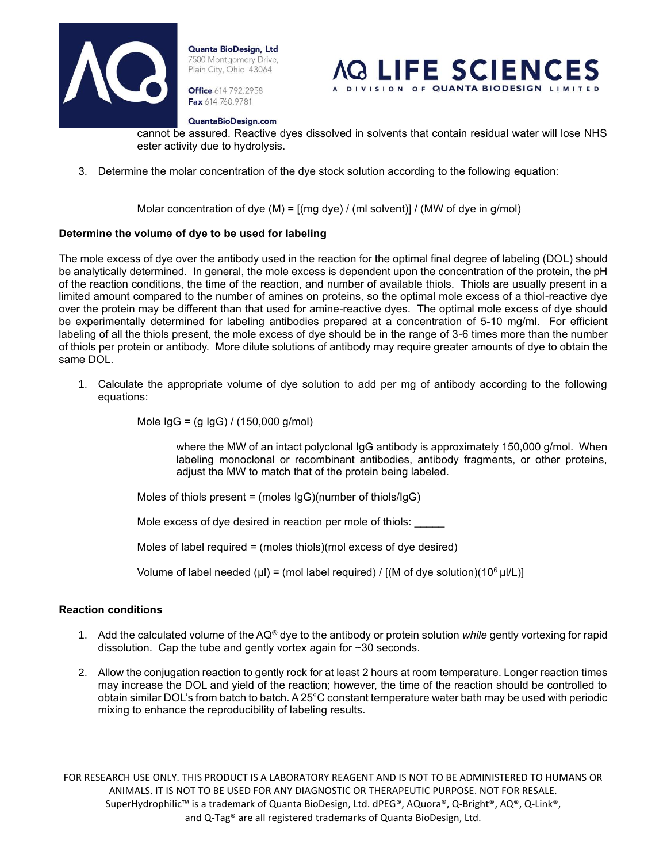

**Office** 614 792.2958 Fax 614 760.9781



QuantaBioDesign.com

cannot be assured. Reactive dyes dissolved in solvents that contain residual water will lose NHS ester activity due to hydrolysis.

3. Determine the molar concentration of the dye stock solution according to the following equation:

Molar concentration of dye (M) =  $[(mg \, dye) / (ml \, solvent)] / (MW \, of \, dye \, in \, g/mol)$ 

#### **Determine the volume of dye to be used for labeling**

The mole excess of dye over the antibody used in the reaction for the optimal final degree of labeling (DOL) should be analytically determined. In general, the mole excess is dependent upon the concentration of the protein, the pH of the reaction conditions, the time of the reaction, and number of available thiols. Thiols are usually present in a limited amount compared to the number of amines on proteins, so the optimal mole excess of a thiol-reactive dye over the protein may be different than that used for amine-reactive dyes. The optimal mole excess of dye should be experimentally determined for labeling antibodies prepared at a concentration of 5-10 mg/ml. For efficient labeling of all the thiols present, the mole excess of dye should be in the range of 3-6 times more than the number of thiols per protein or antibody. More dilute solutions of antibody may require greater amounts of dye to obtain the same DOL.

1. Calculate the appropriate volume of dye solution to add per mg of antibody according to the following equations:

Mole IgG = (g IgG) / (150,000 g/mol)

where the MW of an intact polyclonal IgG antibody is approximately 150,000 g/mol. When labeling monoclonal or recombinant antibodies, antibody fragments, or other proteins, adjust the MW to match that of the protein being labeled.

Moles of thiols present = (moles IgG)(number of thiols/IgG)

Mole excess of dye desired in reaction per mole of thiols:

Moles of label required = (moles thiols)(mol excess of dye desired)

Volume of label needed (µl) = (mol label required) / [(M of dye solution)(10<sup>6</sup> µl/L)]

#### **Reaction conditions**

- 1. Add the calculated volume of the AQ® dye to the antibody or protein solution *while* gently vortexing for rapid dissolution. Cap the tube and gently vortex again for ~30 seconds.
- 2. Allow the conjugation reaction to gently rock for at least 2 hours at room temperature. Longer reaction times may increase the DOL and yield of the reaction; however, the time of the reaction should be controlled to obtain similar DOL's from batch to batch. A 25°C constant temperature water bath may be used with periodic mixing to enhance the reproducibility of labeling results.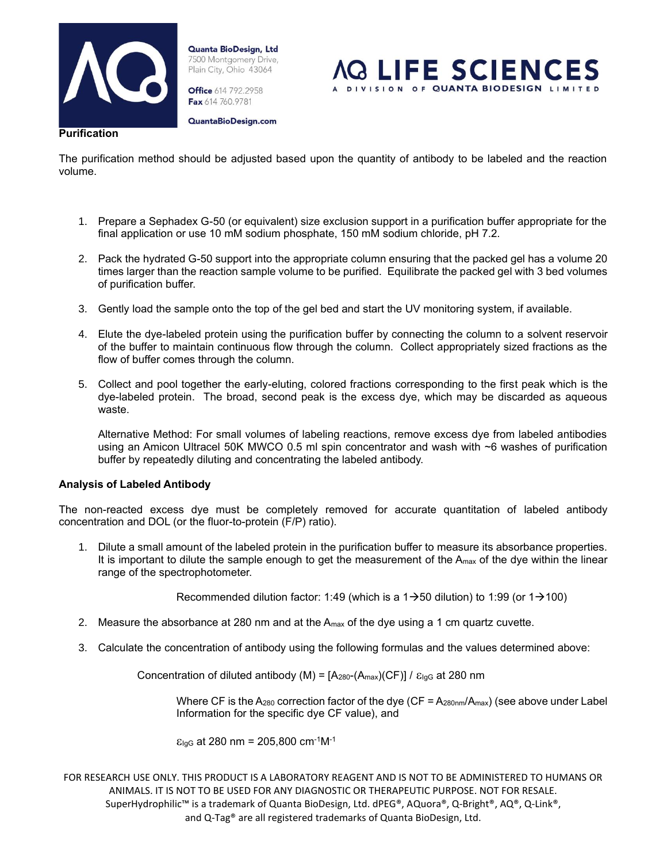

**Office** 614 792.2958 Fax 614 760.9781

QuantaBioDesign.com



The purification method should be adjusted based upon the quantity of antibody to be labeled and the reaction volume.

- 1. Prepare a Sephadex G-50 (or equivalent) size exclusion support in a purification buffer appropriate for the final application or use 10 mM sodium phosphate, 150 mM sodium chloride, pH 7.2.
- 2. Pack the hydrated G-50 support into the appropriate column ensuring that the packed gel has a volume 20 times larger than the reaction sample volume to be purified. Equilibrate the packed gel with 3 bed volumes of purification buffer.
- 3. Gently load the sample onto the top of the gel bed and start the UV monitoring system, if available.
- 4. Elute the dye-labeled protein using the purification buffer by connecting the column to a solvent reservoir of the buffer to maintain continuous flow through the column. Collect appropriately sized fractions as the flow of buffer comes through the column.
- 5. Collect and pool together the early-eluting, colored fractions corresponding to the first peak which is the dye-labeled protein. The broad, second peak is the excess dye, which may be discarded as aqueous waste.

Alternative Method: For small volumes of labeling reactions, remove excess dye from labeled antibodies using an Amicon Ultracel 50K MWCO 0.5 ml spin concentrator and wash with ~6 washes of purification buffer by repeatedly diluting and concentrating the labeled antibody.

#### **Analysis of Labeled Antibody**

The non-reacted excess dye must be completely removed for accurate quantitation of labeled antibody concentration and DOL (or the fluor-to-protein (F/P) ratio).

1. Dilute a small amount of the labeled protein in the purification buffer to measure its absorbance properties. It is important to dilute the sample enough to get the measurement of the  $A_{max}$  of the dye within the linear range of the spectrophotometer.

Recommended dilution factor: 1:49 (which is a 1 $\rightarrow$ 50 dilution) to 1:99 (or 1 $\rightarrow$ 100)

- 2. Measure the absorbance at 280 nm and at the  $A_{\text{max}}$  of the dye using a 1 cm quartz cuvette.
- 3. Calculate the concentration of antibody using the following formulas and the values determined above:

Concentration of diluted antibody (M) =  $[A<sub>280</sub>-(A<sub>max</sub>)(CF)] / \varepsilon<sub>lgG</sub>$  at 280 nm

Where CF is the A<sub>280</sub> correction factor of the dye (CF = A<sub>280nm</sub>/A<sub>max</sub>) (see above under Label Information for the specific dye CF value), and

 $E_{IGG}$  at 280 nm = 205,800 cm<sup>-1</sup>M<sup>-1</sup>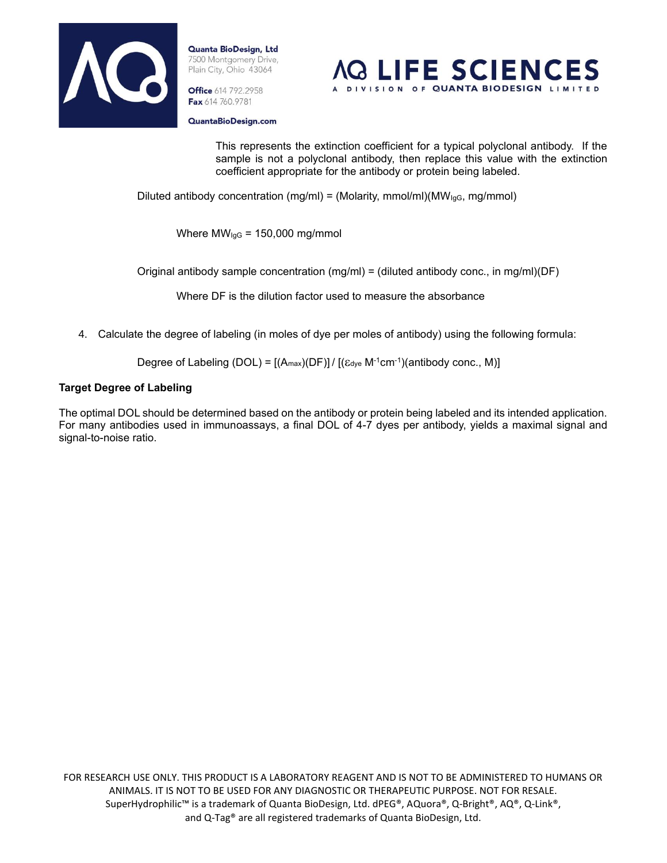

**Office** 614 792.2958 Fax 614 760.9781



QuantaBioDesign.com

This represents the extinction coefficient for a typical polyclonal antibody. If the sample is not a polyclonal antibody, then replace this value with the extinction coefficient appropriate for the antibody or protein being labeled.

Diluted antibody concentration (mg/ml) = (Molarity, mmol/ml)(MW $_{lgG}$ , mg/mmol)

Where  $MW_{lgG} = 150,000$  mg/mmol

Original antibody sample concentration  $(mg/ml) = (diluted$  antibody conc., in mg/ml)(DF)

Where DF is the dilution factor used to measure the absorbance

4. Calculate the degree of labeling (in moles of dye per moles of antibody) using the following formula:

Degree of Labeling (DOL) =  $[(A_{max})(DF)] / [( \varepsilon_{dye} M^{-1}cm^{-1}) (antibody conc., M) ]$ 

#### **Target Degree of Labeling**

The optimal DOL should be determined based on the antibody or protein being labeled and its intended application. For many antibodies used in immunoassays, a final DOL of 4-7 dyes per antibody, yields a maximal signal and signal-to-noise ratio.